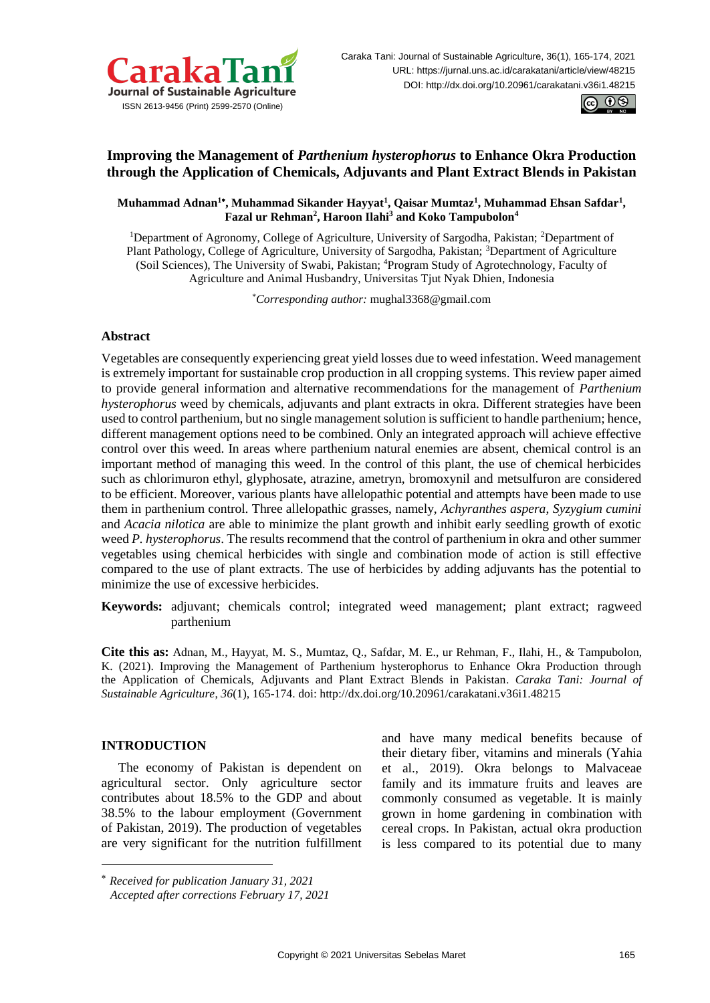



# **Improving the Management of** *Parthenium hysterophorus* **to Enhance Okra Production through the Application of Chemicals, Adjuvants and Plant Extract Blends in Pakistan**

**Muhammad Adnan<sup>1</sup> , Muhammad Sikander Hayyat<sup>1</sup> , Qaisar Mumtaz<sup>1</sup> , Muhammad Ehsan Safdar<sup>1</sup> , Fazal ur Rehman<sup>2</sup> , Haroon Ilahi<sup>3</sup> and Koko Tampubolon<sup>4</sup>**

<sup>1</sup>Department of Agronomy, College of Agriculture, University of Sargodha, Pakistan; <sup>2</sup>Department of Plant Pathology, College of Agriculture, University of Sargodha, Pakistan; <sup>3</sup>Department of Agriculture (Soil Sciences), The University of Swabi, Pakistan; <sup>4</sup>Program Study of Agrotechnology, Faculty of Agriculture and Animal Husbandry, Universitas Tjut Nyak Dhien, Indonesia

\**Corresponding author:* [mughal3368@gmail.com](mailto:mughal3368@gmail.com)

# **Abstract**

Vegetables are consequently experiencing great yield losses due to weed infestation. Weed management is extremely important for sustainable crop production in all cropping systems. This review paper aimed to provide general information and alternative recommendations for the management of *Parthenium hysterophorus* weed by chemicals, adjuvants and plant extracts in okra. Different strategies have been used to control parthenium, but no single management solution is sufficient to handle parthenium; hence, different management options need to be combined. Only an integrated approach will achieve effective control over this weed. In areas where parthenium natural enemies are absent, chemical control is an important method of managing this weed. In the control of this plant, the use of chemical herbicides such as chlorimuron ethyl, glyphosate, atrazine, ametryn, bromoxynil and metsulfuron are considered to be efficient. Moreover, various plants have allelopathic potential and attempts have been made to use them in parthenium control. Three allelopathic grasses, namely, *Achyranthes aspera*, *Syzygium cumini* and *Acacia nilotica* are able to minimize the plant growth and inhibit early seedling growth of exotic weed *P. hysterophorus*. The results recommend that the control of parthenium in okra and other summer vegetables using chemical herbicides with single and combination mode of action is still effective compared to the use of plant extracts. The use of herbicides by adding adjuvants has the potential to minimize the use of excessive herbicides.

**Keywords:** adjuvant; chemicals control; integrated weed management; plant extract; ragweed .parthenium

**Cite this as:** Adnan, M., Hayyat, M. S., Mumtaz, Q., Safdar, M. E., ur Rehman, F., Ilahi, H., & Tampubolon, K. (2021). Improving the Management of Parthenium hysterophorus to Enhance Okra Production through the Application of Chemicals, Adjuvants and Plant Extract Blends in Pakistan. *Caraka Tani: Journal of Sustainable Agriculture*, *36*(1), 165-174. doi: <http://dx.doi.org/10.20961/carakatani.v36i1.48215>

# **INTRODUCTION**

1

The economy of Pakistan is dependent on agricultural sector. Only agriculture sector contributes about 18.5% to the GDP and about 38.5% to the labour employment (Government of Pakistan, 2019). The production of vegetables are very significant for the nutrition fulfillment and have many medical benefits because of their dietary fiber, vitamins and minerals (Yahia et al., 2019). Okra belongs to Malvaceae family and its immature fruits and leaves are commonly consumed as vegetable. It is mainly grown in home gardening in combination with cereal crops. In Pakistan, actual okra production is less compared to its potential due to many

*Received for publication January 31, 2021 Accepted after corrections February 17, 2021*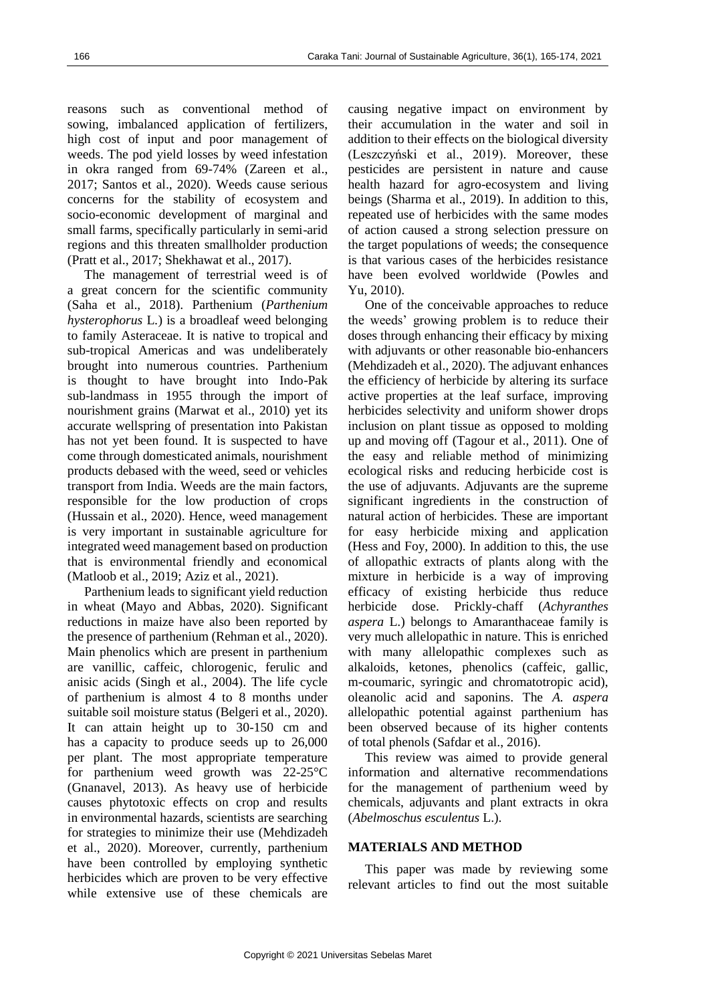reasons such as conventional method of sowing, imbalanced application of fertilizers, high cost of input and poor management of weeds. The pod yield losses by weed infestation in okra ranged from 69-74% (Zareen et al., 2017; Santos et al., 2020). Weeds cause serious concerns for the stability of ecosystem and socio-economic development of marginal and small farms, specifically particularly in semi-arid regions and this threaten smallholder production (Pratt et al., 2017; Shekhawat et al., 2017).

The management of terrestrial weed is of a great concern for the scientific community (Saha et al., 2018). Parthenium (*Parthenium hysterophorus* L*.*) is a broadleaf weed belonging to family Asteraceae. It is native to tropical and sub-tropical Americas and was undeliberately brought into numerous countries. Parthenium is thought to have brought into Indo-Pak sub-landmass in 1955 through the import of nourishment grains (Marwat et al., 2010) yet its accurate wellspring of presentation into Pakistan has not yet been found. It is suspected to have come through domesticated animals, nourishment products debased with the weed, seed or vehicles transport from India. Weeds are the main factors, responsible for the low production of crops (Hussain et al., 2020). Hence, weed management is very important in sustainable agriculture for integrated weed management based on production that is environmental friendly and economical (Matloob et al., 2019; Aziz et al., 2021).

Parthenium leads to significant yield reduction in wheat (Mayo and Abbas, 2020). Significant reductions in maize have also been reported by the presence of parthenium (Rehman et al., 2020). Main phenolics which are present in parthenium are vanillic, caffeic, chlorogenic, ferulic and anisic acids (Singh et al., 2004). The life cycle of parthenium is almost 4 to 8 months under suitable soil moisture status (Belgeri et al., 2020). It can attain height up to 30-150 cm and has a capacity to produce seeds up to 26,000 per plant. The most appropriate temperature for parthenium weed growth was 22-25°C (Gnanavel, 2013). As heavy use of herbicide causes phytotoxic effects on crop and results in environmental hazards, scientists are searching for strategies to minimize their use (Mehdizadeh et al., 2020). Moreover, currently, parthenium have been controlled by employing synthetic herbicides which are proven to be very effective while extensive use of these chemicals are causing negative impact on environment by their accumulation in the water and soil in addition to their effects on the biological diversity (Leszczyński et al., 2019). Moreover, these pesticides are persistent in nature and cause health hazard for agro-ecosystem and living beings (Sharma et al., 2019). In addition to this, repeated use of herbicides with the same modes of action caused a strong selection pressure on the target populations of weeds; the consequence is that various cases of the herbicides resistance have been evolved worldwide (Powles and Yu, 2010).

One of the conceivable approaches to reduce the weeds' growing problem is to reduce their doses through enhancing their efficacy by mixing with adjuvants or other reasonable bio-enhancers (Mehdizadeh et al., 2020). The adjuvant enhances the efficiency of herbicide by altering its surface active properties at the leaf surface, improving herbicides selectivity and uniform shower drops inclusion on plant tissue as opposed to molding up and moving off (Tagour et al., 2011). One of the easy and reliable method of minimizing ecological risks and reducing herbicide cost is the use of adjuvants. Adjuvants are the supreme significant ingredients in the construction of natural action of herbicides. These are important for easy herbicide mixing and application (Hess and Foy, 2000). In addition to this, the use of allopathic extracts of plants along with the mixture in herbicide is a way of improving efficacy of existing herbicide thus reduce herbicide dose. Prickly-chaff (*Achyranthes aspera* L.) belongs to Amaranthaceae family is very much allelopathic in nature. This is enriched with many allelopathic complexes such as alkaloids, ketones, phenolics (caffeic, gallic, m-coumaric, syringic and chromatotropic acid), oleanolic acid and saponins. The *A. aspera*  allelopathic potential against parthenium has been observed because of its higher contents of total phenols (Safdar et al., 2016).

This review was aimed to provide general information and alternative recommendations for the management of parthenium weed by chemicals, adjuvants and plant extracts in okra (*Abelmoschus esculentus* L.).

### **MATERIALS AND METHOD**

This paper was made by reviewing some relevant articles to find out the most suitable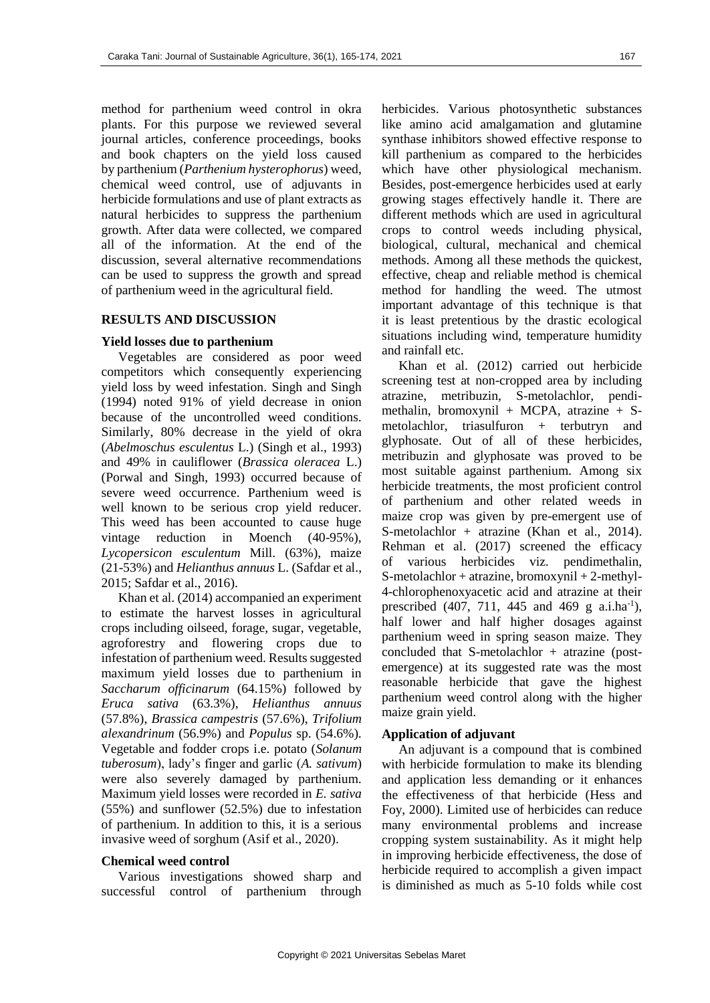method for parthenium weed control in okra plants. For this purpose we reviewed several journal articles, conference proceedings, books and book chapters on the yield loss caused by parthenium (*Parthenium hysterophorus*) weed, chemical weed control, use of adjuvants in herbicide formulations and use of plant extracts as natural herbicides to suppress the parthenium growth. After data were collected, we compared all of the information. At the end of the discussion, several alternative recommendations can be used to suppress the growth and spread of parthenium weed in the agricultural field.

#### **RESULTS AND DISCUSSION**

### **Yield losses due to parthenium**

Vegetables are considered as poor weed competitors which consequently experiencing yield loss by weed infestation. Singh and Singh (1994) noted 91% of yield decrease in onion because of the uncontrolled weed conditions. Similarly, 80% decrease in the yield of okra (*Abelmoschus esculentus* L.) (Singh et al., 1993) and 49% in cauliflower (*Brassica oleracea* L.) (Porwal and Singh, 1993) occurred because of severe weed occurrence. Parthenium weed is well known to be serious crop yield reducer. This weed has been accounted to cause huge vintage reduction in Moench (40-95%), *Lycopersicon esculentum* Mill. (63%), maize (21-53%) and *Helianthus annuus* L. (Safdar et al., 2015; Safdar et al., 2016).

Khan et al. (2014) accompanied an experiment to estimate the harvest losses in agricultural crops including oilseed, forage, sugar, vegetable, agroforestry and flowering crops due to infestation of parthenium weed. Results suggested maximum yield losses due to parthenium in *Saccharum officinarum* (64.15%) followed by *Eruca sativa* (63.3%), *Helianthus annuus*  (57.8%), *Brassica campestris* (57.6%), *Trifolium alexandrinum* (56.9%) and *Populus* sp. (54.6%). Vegetable and fodder crops i.e. potato (*Solanum tuberosum*), lady's finger and garlic (*A. sativum*) were also severely damaged by parthenium. Maximum yield losses were recorded in *E. sativa*  (55%) and sunflower (52.5%) due to infestation of parthenium. In addition to this, it is a serious invasive weed of sorghum (Asif et al., 2020).

#### **Chemical weed control**

Various investigations showed sharp and successful control of parthenium through herbicides. Various photosynthetic substances like amino acid amalgamation and glutamine synthase inhibitors showed effective response to kill parthenium as compared to the herbicides which have other physiological mechanism. Besides, post-emergence herbicides used at early growing stages effectively handle it. There are different methods which are used in agricultural crops to control weeds including physical, biological, cultural, mechanical and chemical methods. Among all these methods the quickest, effective, cheap and reliable method is chemical method for handling the weed. The utmost important advantage of this technique is that it is least pretentious by the drastic ecological situations including wind, temperature humidity and rainfall etc.

Khan et al. (2012) carried out herbicide screening test at non-cropped area by including atrazine, metribuzin, S-metolachlor, pendimethalin, bromoxynil + MCPA, atrazine +  $S$ metolachlor, triasulfuron + terbutryn and glyphosate. Out of all of these herbicides, metribuzin and glyphosate was proved to be most suitable against parthenium. Among six herbicide treatments, the most proficient control of parthenium and other related weeds in maize crop was given by pre-emergent use of S-metolachlor + atrazine (Khan et al., 2014). Rehman et al. (2017) screened the efficacy of various herbicides viz. pendimethalin, S-metolachlor + atrazine, bromoxynil + 2-methyl-4-chlorophenoxyacetic acid and atrazine at their prescribed  $(407, 711, 445 \text{ and } 469 \text{ g } a.i.\text{ha}^{-1})$ , half lower and half higher dosages against parthenium weed in spring season maize. They concluded that S-metolachlor + atrazine (postemergence) at its suggested rate was the most reasonable herbicide that gave the highest parthenium weed control along with the higher maize grain yield.

#### **Application of adjuvant**

An adjuvant is a compound that is combined with herbicide formulation to make its blending and application less demanding or it enhances the effectiveness of that herbicide (Hess and Foy, 2000). Limited use of herbicides can reduce many environmental problems and increase cropping system sustainability. As it might help in improving herbicide effectiveness, the dose of herbicide required to accomplish a given impact is diminished as much as 5-10 folds while cost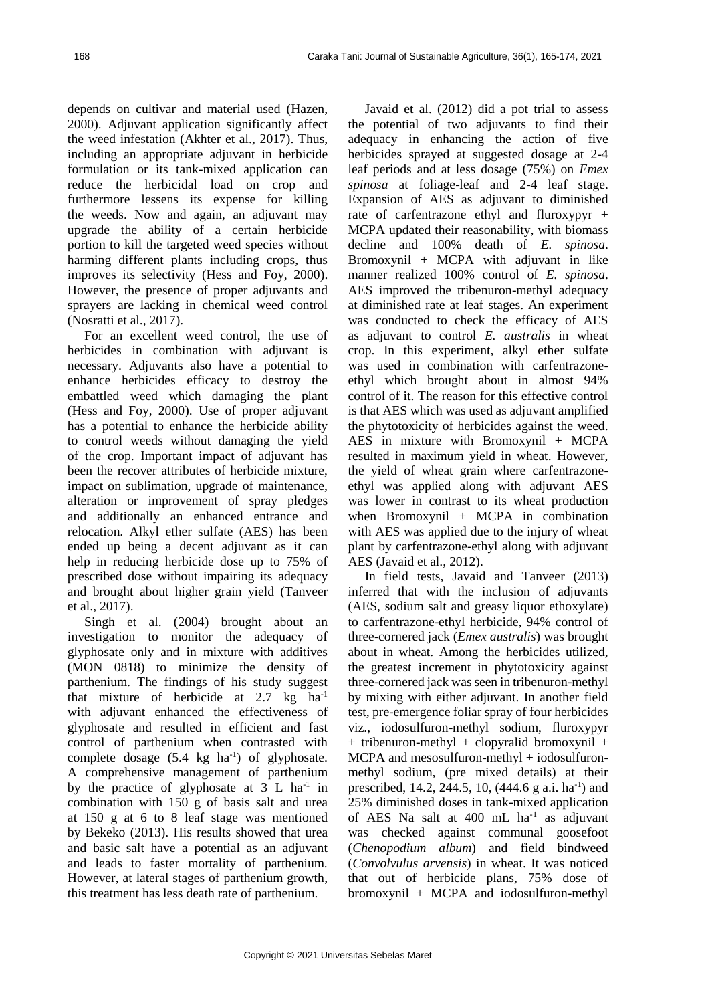depends on cultivar and material used (Hazen, 2000). Adjuvant application significantly affect the weed infestation (Akhter et al., 2017). Thus, including an appropriate adjuvant in herbicide formulation or its tank-mixed application can reduce the herbicidal load on crop and furthermore lessens its expense for killing the weeds. Now and again, an adjuvant may upgrade the ability of a certain herbicide portion to kill the targeted weed species without harming different plants including crops, thus improves its selectivity (Hess and Foy, 2000). However, the presence of proper adjuvants and sprayers are lacking in chemical weed control (Nosratti et al., 2017).

For an excellent weed control, the use of herbicides in combination with adjuvant is necessary. Adjuvants also have a potential to enhance herbicides efficacy to destroy the embattled weed which damaging the plant (Hess and Foy, 2000). Use of proper adjuvant has a potential to enhance the herbicide ability to control weeds without damaging the yield of the crop. Important impact of adjuvant has been the recover attributes of herbicide mixture, impact on sublimation, upgrade of maintenance, alteration or improvement of spray pledges and additionally an enhanced entrance and relocation. Alkyl ether sulfate (AES) has been ended up being a decent adjuvant as it can help in reducing herbicide dose up to 75% of prescribed dose without impairing its adequacy and brought about higher grain yield (Tanveer et al., 2017).

Singh et al. (2004) brought about an investigation to monitor the adequacy of glyphosate only and in mixture with additives (MON 0818) to minimize the density of parthenium. The findings of his study suggest that mixture of herbicide at 2.7 kg ha-1 with adjuvant enhanced the effectiveness of glyphosate and resulted in efficient and fast control of parthenium when contrasted with complete dosage  $(5.4 \text{ kg} \text{ ha}^{-1})$  of glyphosate. A comprehensive management of parthenium by the practice of glyphosate at  $3 L$  ha<sup>-1</sup> in combination with 150 g of basis salt and urea at 150 g at 6 to 8 leaf stage was mentioned by Bekeko (2013). His results showed that urea and basic salt have a potential as an adjuvant and leads to faster mortality of parthenium. However, at lateral stages of parthenium growth, this treatment has less death rate of parthenium.

Javaid et al. (2012) did a pot trial to assess the potential of two adjuvants to find their adequacy in enhancing the action of five herbicides sprayed at suggested dosage at 2-4 leaf periods and at less dosage (75%) on *Emex spinosa* at foliage-leaf and 2-4 leaf stage. Expansion of AES as adjuvant to diminished rate of carfentrazone ethyl and fluroxypyr + MCPA updated their reasonability, with biomass decline and 100% death of *E. spinosa*. Bromoxynil + MCPA with adjuvant in like manner realized 100% control of *E. spinosa*. AES improved the tribenuron-methyl adequacy at diminished rate at leaf stages. An experiment was conducted to check the efficacy of AES as adjuvant to control *E. australis* in wheat crop. In this experiment, alkyl ether sulfate was used in combination with carfentrazoneethyl which brought about in almost 94% control of it. The reason for this effective control is that AES which was used as adjuvant amplified the phytotoxicity of herbicides against the weed. AES in mixture with Bromoxynil + MCPA resulted in maximum yield in wheat. However, the yield of wheat grain where carfentrazoneethyl was applied along with adjuvant AES was lower in contrast to its wheat production when Bromoxynil + MCPA in combination with AES was applied due to the injury of wheat plant by carfentrazone-ethyl along with adjuvant AES (Javaid et al., 2012).

In field tests, Javaid and Tanveer (2013) inferred that with the inclusion of adjuvants (AES, sodium salt and greasy liquor ethoxylate) to carfentrazone-ethyl herbicide, 94% control of three-cornered jack (*Emex australis*) was brought about in wheat. Among the herbicides utilized, the greatest increment in phytotoxicity against three-cornered jack was seen in tribenuron-methyl by mixing with either adjuvant. In another field test, pre-emergence foliar spray of four herbicides viz., iodosulfuron-methyl sodium, fluroxypyr + tribenuron-methyl + clopyralid bromoxynil + MCPA and mesosulfuron-methyl + iodosulfuronmethyl sodium, (pre mixed details) at their prescribed, 14.2, 244.5, 10,  $(444.6 \text{ g a.i. ha}^{-1})$  and 25% diminished doses in tank-mixed application of AES Na salt at 400 mL ha<sup>-1</sup> as adjuvant was checked against communal goosefoot (*Chenopodium album*) and field bindweed (*Convolvulus arvensis*) in wheat. It was noticed that out of herbicide plans, 75% dose of bromoxynil + MCPA and iodosulfuron-methyl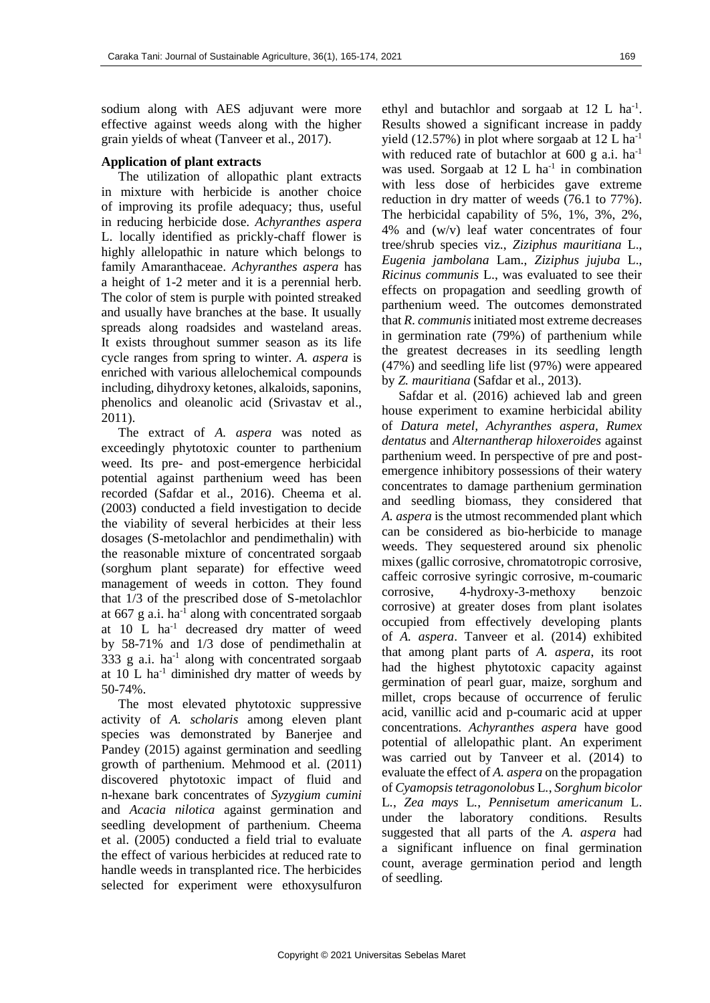sodium along with AES adjuvant were more effective against weeds along with the higher grain yields of wheat (Tanveer et al., 2017).

### **Application of plant extracts**

The utilization of allopathic plant extracts in mixture with herbicide is another choice of improving its profile adequacy; thus, useful in reducing herbicide dose. *Achyranthes aspera* L. locally identified as prickly-chaff flower is highly allelopathic in nature which belongs to family Amaranthaceae. *Achyranthes aspera* has a height of 1-2 meter and it is a perennial herb. The color of stem is purple with pointed streaked and usually have branches at the base. It usually spreads along roadsides and wasteland areas. It exists throughout summer season as its life cycle ranges from spring to winter. *A. aspera* is enriched with various allelochemical compounds including, dihydroxy ketones, alkaloids, saponins, phenolics and oleanolic acid (Srivastav et al., 2011).

The extract of *A. aspera* was noted as exceedingly phytotoxic counter to parthenium weed. Its pre- and post-emergence herbicidal potential against parthenium weed has been recorded (Safdar et al., 2016). Cheema et al. (2003) conducted a field investigation to decide the viability of several herbicides at their less dosages (S-metolachlor and pendimethalin) with the reasonable mixture of concentrated sorgaab (sorghum plant separate) for effective weed management of weeds in cotton. They found that 1/3 of the prescribed dose of S-metolachlor at  $667$  g a.i. ha<sup>-1</sup> along with concentrated sorgaab at 10 L ha-1 decreased dry matter of weed by 58-71% and 1/3 dose of pendimethalin at 333 g a.i.  $ha^{-1}$  along with concentrated sorgaab at  $10$  L ha<sup>-1</sup> diminished dry matter of weeds by 50-74%.

The most elevated phytotoxic suppressive activity of *A. scholaris* among eleven plant species was demonstrated by Banerjee and Pandey (2015) against germination and seedling growth of parthenium. Mehmood et al. (2011) discovered phytotoxic impact of fluid and n-hexane bark concentrates of *Syzygium cumini* and *Acacia nilotica* against germination and seedling development of parthenium. Cheema et al. (2005) conducted a field trial to evaluate the effect of various herbicides at reduced rate to handle weeds in transplanted rice. The herbicides selected for experiment were ethoxysulfuron

ethyl and butachlor and sorgaab at 12 L ha<sup>-1</sup>. Results showed a significant increase in paddy yield (12.57%) in plot where sorgaab at 12 L ha<sup>-1</sup> with reduced rate of butachlor at  $600 \text{ g a.i.} \text{ ha}^{-1}$ was used. Sorgaab at  $12$  L ha<sup>-1</sup> in combination with less dose of herbicides gave extreme reduction in dry matter of weeds (76.1 to 77%). The herbicidal capability of 5%, 1%, 3%, 2%, 4% and (w/v) leaf water concentrates of four tree/shrub species viz., *Ziziphus mauritiana* L., *Eugenia jambolana* Lam., *Ziziphus jujuba* L., *Ricinus communis* L., was evaluated to see their effects on propagation and seedling growth of parthenium weed. The outcomes demonstrated that *R. communis* initiated most extreme decreases in germination rate (79%) of parthenium while the greatest decreases in its seedling length (47%) and seedling life list (97%) were appeared by *Z. mauritiana* (Safdar et al., 2013).

Safdar et al. (2016) achieved lab and green house experiment to examine herbicidal ability of *Datura metel, Achyranthes aspera, Rumex dentatus* and *Alternantherap hiloxeroides* against parthenium weed. In perspective of pre and postemergence inhibitory possessions of their watery concentrates to damage parthenium germination and seedling biomass, they considered that *A. aspera* is the utmost recommended plant which can be considered as bio-herbicide to manage weeds. They sequestered around six phenolic mixes (gallic corrosive, chromatotropic corrosive, caffeic corrosive syringic corrosive, m-coumaric corrosive, 4-hydroxy-3-methoxy benzoic corrosive) at greater doses from plant isolates occupied from effectively developing plants of *A. aspera*. Tanveer et al. (2014) exhibited that among plant parts of *A. aspera*, its root had the highest phytotoxic capacity against germination of pearl guar, maize, sorghum and millet, crops because of occurrence of ferulic acid, vanillic acid and p-coumaric acid at upper concentrations. *Achyranthes aspera* have good potential of allelopathic plant. An experiment was carried out by Tanveer et al. (2014) to evaluate the effect of *A. aspera* on the propagation of *Cyamopsis tetragonolobus* L*.*, *Sorghum bicolor*  L*.*, *Zea mays* L*.*, *Pennisetum americanum* L. under the laboratory conditions. Results suggested that all parts of the *A. aspera* had a significant influence on final germination count, average germination period and length of seedling.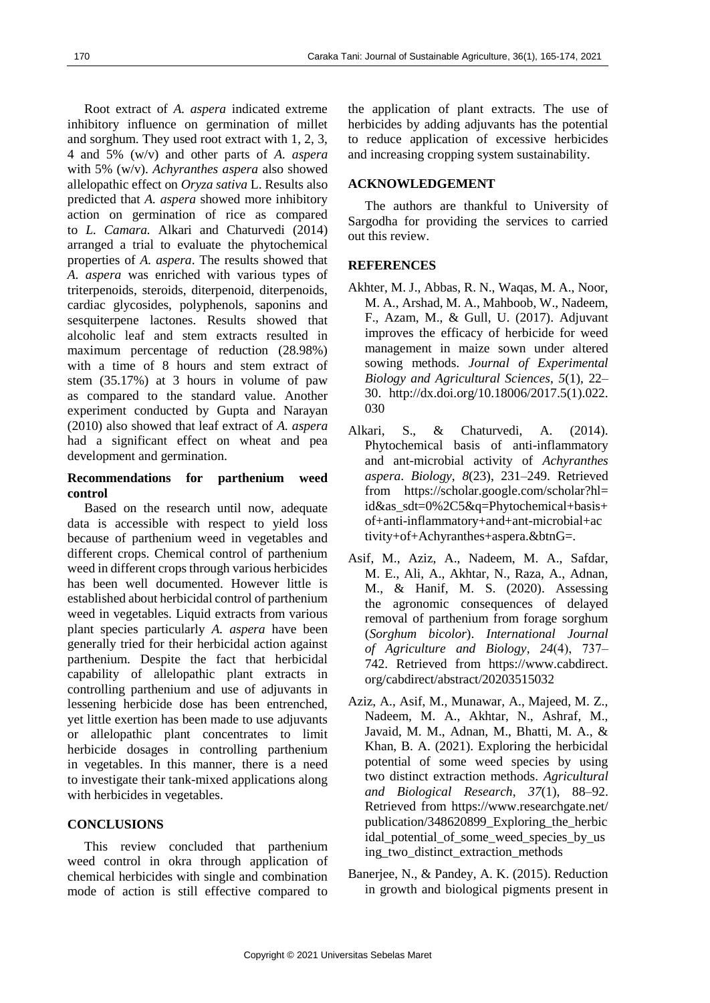Root extract of *A. aspera* indicated extreme inhibitory influence on germination of millet and sorghum. They used root extract with 1, 2, 3, 4 and 5% (w/v) and other parts of *A. aspera* with 5% (w/v). *Achyranthes aspera* also showed allelopathic effect on *Oryza sativa* L. Results also predicted that *A. aspera* showed more inhibitory action on germination of rice as compared to *L. Camara.* Alkari and Chaturvedi (2014) arranged a trial to evaluate the phytochemical properties of *A. aspera*. The results showed that *A. aspera* was enriched with various types of triterpenoids, steroids, diterpenoid, diterpenoids, cardiac glycosides, polyphenols, saponins and sesquiterpene lactones. Results showed that alcoholic leaf and stem extracts resulted in maximum percentage of reduction (28.98%) with a time of 8 hours and stem extract of stem (35.17%) at 3 hours in volume of paw as compared to the standard value. Another experiment conducted by Gupta and Narayan (2010) also showed that leaf extract of *A. aspera*  had a significant effect on wheat and pea development and germination.

# **Recommendations for parthenium weed control**

Based on the research until now, adequate data is accessible with respect to yield loss because of parthenium weed in vegetables and different crops. Chemical control of parthenium weed in different crops through various herbicides has been well documented. However little is established about herbicidal control of parthenium weed in vegetables. Liquid extracts from various plant species particularly *A. aspera* have been generally tried for their herbicidal action against parthenium. Despite the fact that herbicidal capability of allelopathic plant extracts in controlling parthenium and use of adjuvants in lessening herbicide dose has been entrenched, yet little exertion has been made to use adjuvants or allelopathic plant concentrates to limit herbicide dosages in controlling parthenium in vegetables. In this manner, there is a need to investigate their tank-mixed applications along with herbicides in vegetables.

### **CONCLUSIONS**

This review concluded that parthenium weed control in okra through application of chemical herbicides with single and combination mode of action is still effective compared to the application of plant extracts. The use of herbicides by adding adjuvants has the potential to reduce application of excessive herbicides and increasing cropping system sustainability.

### **ACKNOWLEDGEMENT**

The authors are thankful to University of Sargodha for providing the services to carried out this review.

# **REFERENCES**

- Akhter, M. J., Abbas, R. N., Waqas, M. A., Noor, M. A., Arshad, M. A., Mahboob, W., Nadeem, F., Azam, M., & Gull, U. (2017). Adjuvant improves the efficacy of herbicide for weed management in maize sown under altered sowing methods. *Journal of Experimental Biology and Agricultural Sciences*, *5*(1), 22– 30. http://dx.doi.org/10.18006/2017.5(1).022. 030
- Alkari, S., & Chaturvedi, A. (2014). Phytochemical basis of anti-inflammatory and ant-microbial activity of *Achyranthes aspera*. *Biology*, *8*(23), 231–249. Retrieved from https://scholar.google.com/scholar?hl= id&as\_sdt=0%2C5&q=Phytochemical+basis+ of+anti-inflammatory+and+ant-microbial+ac tivity+of+Achyranthes+aspera.&btnG=.
- Asif, M., Aziz, A., Nadeem, M. A., Safdar, M. E., Ali, A., Akhtar, N., Raza, A., Adnan, M., & Hanif, M. S. (2020). Assessing the agronomic consequences of delayed removal of parthenium from forage sorghum (*Sorghum bicolor*). *International Journal of Agriculture and Biology*, *24*(4), 737‒ 742. Retrieved from https://www.cabdirect. org/cabdirect/abstract/20203515032
- Aziz, A., Asif, M., Munawar, A., Majeed, M. Z., Nadeem, M. A., Akhtar, N., Ashraf, M., Javaid, M. M., Adnan, M., Bhatti, M. A., & Khan, B. A. (2021). Exploring the herbicidal potential of some weed species by using two distinct extraction methods. *Agricultural and Biological Research*, *37*(1), 88–92. Retrieved from https://www.researchgate.net/ publication/348620899\_Exploring\_the\_herbic idal\_potential\_of\_some\_weed\_species\_by\_us ing two distinct extraction methods
- Banerjee, N., & Pandey, A. K. (2015). Reduction in growth and biological pigments present in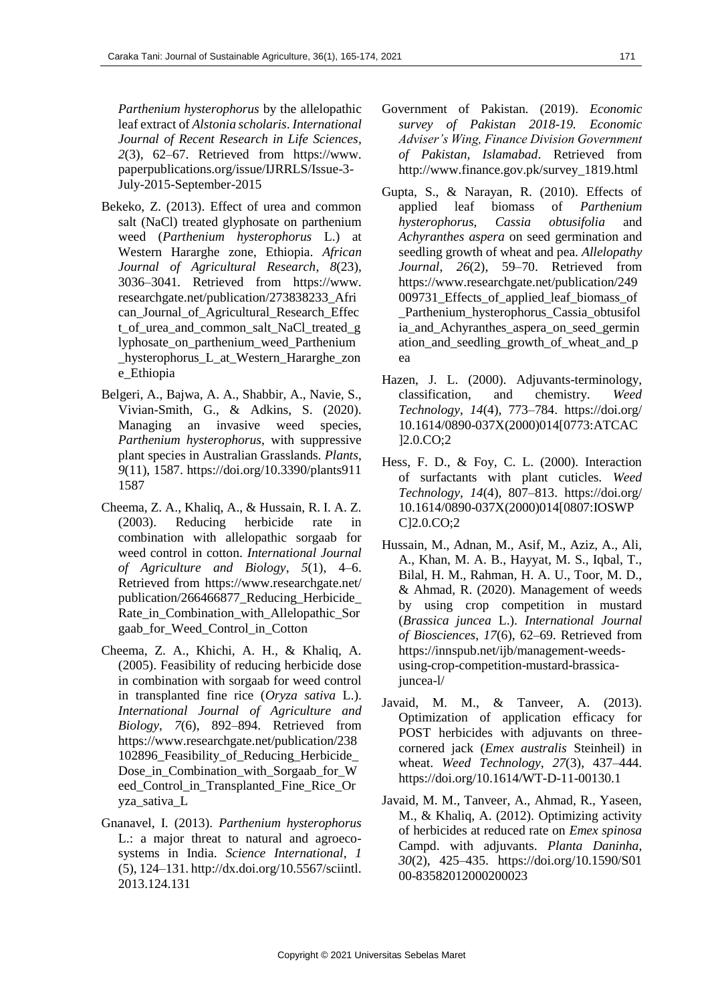*Parthenium hysterophorus* by the allelopathic leaf extract of *Alstonia scholaris*. *International Journal of Recent Research in Life Sciences*, *2*(3), 62–67. Retrieved from https://www. paperpublications.org/issue/IJRRLS/Issue-3- July-2015-September-2015

- Bekeko, Z. (2013). Effect of urea and common salt (NaCl) treated glyphosate on parthenium weed (*Parthenium hysterophorus* L.) at Western Hararghe zone, Ethiopia. *African Journal of Agricultural Research*, *8*(23), 3036–3041. Retrieved from https://www. researchgate.net/publication/273838233\_Afri can\_Journal\_of\_Agricultural\_Research\_Effec t\_of\_urea\_and\_common\_salt\_NaCl\_treated\_g lyphosate\_on\_parthenium\_weed\_Parthenium \_hysterophorus\_L\_at\_Western\_Hararghe\_zon e\_Ethiopia
- Belgeri, A., Bajwa, A. A., Shabbir, A., Navie, S., Vivian-Smith, G., & Adkins, S. (2020). Managing an invasive weed species, *Parthenium hysterophorus*, with suppressive plant species in Australian Grasslands. *Plants*, *9*(11), 1587. https://doi.org/10.3390/plants911 1587
- Cheema, Z. A., Khaliq, A., & Hussain, R. I. A. Z. (2003). Reducing herbicide rate in combination with allelopathic sorgaab for weed control in cotton. *International Journal of Agriculture and Biology*, *5*(1), 4–6. Retrieved from https://www.researchgate.net/ publication/266466877\_Reducing\_Herbicide\_ Rate\_in\_Combination\_with\_Allelopathic\_Sor gaab\_for\_Weed\_Control\_in\_Cotton
- Cheema, Z. A., Khichi, A. H., & Khaliq, A. (2005). Feasibility of reducing herbicide dose in combination with sorgaab for weed control in transplanted fine rice (*Oryza sativa* L.). *International Journal of Agriculture and Biology*, *7*(6), 892–894. Retrieved from https://www.researchgate.net/publication/238 102896\_Feasibility\_of\_Reducing\_Herbicide\_ Dose\_in\_Combination\_with\_Sorgaab\_for\_W eed\_Control\_in\_Transplanted\_Fine\_Rice\_Or yza\_sativa\_L
- Gnanavel, I. (2013). *Parthenium hysterophorus* L.: a major threat to natural and agroecosystems in India. *Science International*, *1* (5), 124–131. http://dx.doi.org/10.5567/sciintl. 2013.124.131
- Government of Pakistan. (2019). *Economic survey of Pakistan 2018-19. Economic Adviser's Wing, Finance Division Government of Pakistan, Islamabad*. Retrieved from http://www.finance.gov.pk/survey\_1819.html
- Gupta, S., & Narayan, R. (2010). Effects of applied leaf biomass of *Parthenium hysterophorus*, *Cassia obtusifolia* and *Achyranthes aspera* on seed germination and seedling growth of wheat and pea. *Allelopathy Journal*, *26*(2), 59–70. Retrieved from https://www.researchgate.net/publication/249 009731 Effects of applied leaf biomass of \_Parthenium\_hysterophorus\_Cassia\_obtusifol ia\_and\_Achyranthes\_aspera\_on\_seed\_germin ation\_and\_seedling\_growth\_of\_wheat\_and\_p ea
- Hazen, J. L. (2000). Adjuvants-terminology, classification, and chemistry. *Weed Technology*, *14*(4), 773–784. https://doi.org/ 10.1614/0890-037X(2000)014[0773:ATCAC ]2.0.CO;2
- Hess, F. D., & Foy, C. L. (2000). Interaction of surfactants with plant cuticles. *Weed Technology*, *14*(4), 807–813. https://doi.org/ 10.1614/0890-037X(2000)014[0807:IOSWP C]2.0.CO;2
- Hussain, M., Adnan, M., Asif, M., Aziz, A., Ali, A., Khan, M. A. B., Hayyat, M. S., Iqbal, T., Bilal, H. M., Rahman, H. A. U., Toor, M. D., & Ahmad, R. (2020). Management of weeds by using crop competition in mustard (*Brassica juncea* L.). *International Journal of Biosciences*, *17*(6), 62–69. Retrieved from https://innspub.net/ijb/management-weedsusing-crop-competition-mustard-brassicajuncea-l/
- Javaid, M. M., & Tanveer, A. (2013). Optimization of application efficacy for POST herbicides with adjuvants on threecornered jack (*Emex australis* Steinheil) in wheat. *Weed Technology*, *27*(3), 437–444. https://doi.org/10.1614/WT-D-11-00130.1
- Javaid, M. M., Tanveer, A., Ahmad, R., Yaseen, M., & Khaliq, A. (2012). Optimizing activity of herbicides at reduced rate on *Emex spinosa* Campd. with adjuvants. *Planta Daninha*, *30*(2), 425–435. https://doi.org/10.1590/S01 00-83582012000200023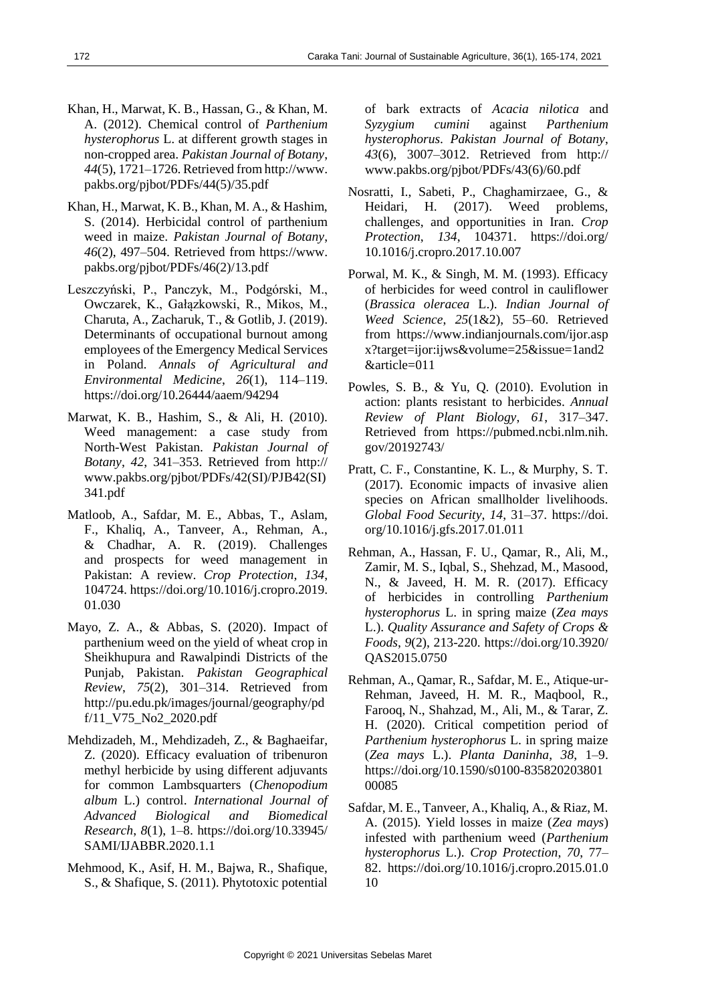- Khan, H., Marwat, K. B., Hassan, G., & Khan, M. A. (2012). Chemical control of *Parthenium hysterophorus* L. at different growth stages in non-cropped area. *Pakistan Journal of Botany*, *44*(5), 1721–1726. Retrieved from http://www. pakbs.org/pjbot/PDFs/44(5)/35.pdf
- Khan, H., Marwat, K. B., Khan, M. A., & Hashim, S. (2014). Herbicidal control of parthenium weed in maize. *Pakistan Journal of Botany*, *46*(2), 497–504. Retrieved from https://www. pakbs.org/pjbot/PDFs/46(2)/13.pdf
- Leszczyński, P., Panczyk, M., Podgórski, M., Owczarek, K., Gałązkowski, R., Mikos, M., Charuta, A., Zacharuk, T., & Gotlib, J. (2019). Determinants of occupational burnout among employees of the Emergency Medical Services in Poland. *Annals of Agricultural and Environmental Medicine*, *26*(1), 114–119. https://doi.org/10.26444/aaem/94294
- Marwat, K. B., Hashim, S., & Ali, H. (2010). Weed management: a case study from North-West Pakistan. *Pakistan Journal of Botany*, *42*, 341–353. Retrieved from http:// www.pakbs.org/pjbot/PDFs/42(SI)/PJB42(SI) 341.pdf
- Matloob, A., Safdar, M. E., Abbas, T., Aslam, F., Khaliq, A., Tanveer, A., Rehman, A., & Chadhar, A. R. (2019). Challenges and prospects for weed management in Pakistan: A review. *Crop Protection*, *134*, 104724. https://doi.org/10.1016/j.cropro.2019. 01.030
- Mayo, Z. A., & Abbas, S. (2020). Impact of parthenium weed on the yield of wheat crop in Sheikhupura and Rawalpindi Districts of the Punjab, Pakistan. *Pakistan Geographical Review*, *75*(2), 301–314. Retrieved from http://pu.edu.pk/images/journal/geography/pd f/11\_V75\_No2\_2020.pdf
- Mehdizadeh, M., Mehdizadeh, Z., & Baghaeifar, Z. (2020). Efficacy evaluation of tribenuron methyl herbicide by using different adjuvants for common Lambsquarters (*Chenopodium album* L.) control. *International Journal of Advanced Biological and Biomedical Research*, *8*(1), 1–8. https://doi.org/10.33945/ SAMI/IJABBR.2020.1.1
- Mehmood, K., Asif, H. M., Bajwa, R., Shafique, S., & Shafique, S. (2011). Phytotoxic potential

of bark extracts of *Acacia nilotica* and *Syzygium cumini* against *Parthenium hysterophorus*. *Pakistan Journal of Botany*, *43*(6), 3007–3012. Retrieved from http:// www.pakbs.org/pjbot/PDFs/43(6)/60.pdf

- Nosratti, I., Sabeti, P., Chaghamirzaee, G., & Heidari, H. (2017). Weed problems, challenges, and opportunities in Iran. *Crop Protection*, *134*, 104371. https://doi.org/ 10.1016/j.cropro.2017.10.007
- Porwal, M. K., & Singh, M. M. (1993). Efficacy of herbicides for weed control in cauliflower (*Brassica oleracea* L.). *Indian Journal of Weed Science*, *25*(1&2), 55–60. Retrieved from https://www.indianjournals.com/ijor.asp x?target=ijor:ijws&volume=25&issue=1and2 &article=011
- Powles, S. B., & Yu, Q. (2010). Evolution in action: plants resistant to herbicides. *Annual Review of Plant Biology*, *61*, 317–347. Retrieved from https://pubmed.ncbi.nlm.nih. gov/20192743/
- Pratt, C. F., Constantine, K. L., & Murphy, S. T. (2017). Economic impacts of invasive alien species on African smallholder livelihoods. *Global Food Security*, *14*, 31–37. https://doi. org/10.1016/j.gfs.2017.01.011
- Rehman, A., Hassan, F. U., Qamar, R., Ali, M., Zamir, M. S., Iqbal, S., Shehzad, M., Masood, N., & Javeed, H. M. R. (2017). Efficacy of herbicides in controlling *Parthenium hysterophorus* L. in spring maize (*Zea mays* L.). *Quality Assurance and Safety of Crops & Foods*, *9*(2), 213-220. https://doi.org/10.3920/ QAS2015.0750
- Rehman, A., Qamar, R., Safdar, M. E., Atique-ur-Rehman, Javeed, H. M. R., Maqbool, R., Farooq, N., Shahzad, M., Ali, M., & Tarar, Z. H. (2020). Critical competition period of *Parthenium hysterophorus* L. in spring maize (*Zea mays* L.). *Planta Daninha*, *38*, 1–9. https://doi.org/10.1590/s0100-835820203801 00085
- Safdar, M. E., Tanveer, A., Khaliq, A., & Riaz, M. A. (2015). Yield losses in maize (*Zea mays*) infested with parthenium weed (*Parthenium hysterophorus* L.). *Crop Protection*, *70*, 77– 82. https://doi.org/10.1016/j.cropro.2015.01.0 10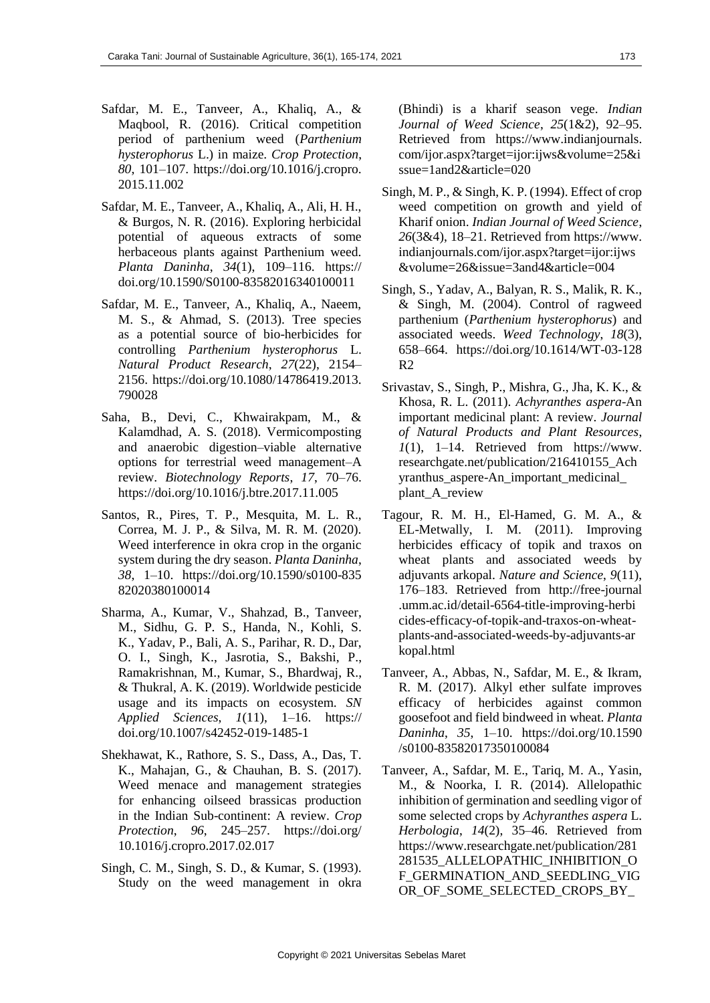- Safdar, M. E., Tanveer, A., Khaliq, A., & Maqbool, R. (2016). Critical competition period of parthenium weed (*Parthenium hysterophorus* L.) in maize. *Crop Protection*, *80*, 101–107. https://doi.org/10.1016/j.cropro. 2015.11.002
- Safdar, M. E., Tanveer, A., Khaliq, A., Ali, H. H., & Burgos, N. R. (2016). Exploring herbicidal potential of aqueous extracts of some herbaceous plants against Parthenium weed. *Planta Daninha*, *34*(1), 109–116. https:// doi.org/10.1590/S0100-83582016340100011
- Safdar, M. E., Tanveer, A., Khaliq, A., Naeem, M. S., & Ahmad, S. (2013). Tree species as a potential source of bio-herbicides for controlling *Parthenium hysterophorus* L. *Natural Product Research*, *27*(22), 2154– 2156. https://doi.org/10.1080/14786419.2013. 790028
- Saha, B., Devi, C., Khwairakpam, M., & Kalamdhad, A. S. (2018). Vermicomposting and anaerobic digestion–viable alternative options for terrestrial weed management–A review. *Biotechnology Reports*, *17*, 70–76. https://doi.org/10.1016/j.btre.2017.11.005
- Santos, R., Pires, T. P., Mesquita, M. L. R., Correa, M. J. P., & Silva, M. R. M. (2020). Weed interference in okra crop in the organic system during the dry season. *Planta Daninha*, *38*, 1–10. https://doi.org/10.1590/s0100-835 82020380100014
- Sharma, A., Kumar, V., Shahzad, B., Tanveer, M., Sidhu, G. P. S., Handa, N., Kohli, S. K., Yadav, P., Bali, A. S., Parihar, R. D., Dar, O. I., Singh, K., Jasrotia, S., Bakshi, P., Ramakrishnan, M., Kumar, S., Bhardwaj, R., & Thukral, A. K. (2019). Worldwide pesticide usage and its impacts on ecosystem. *SN Applied Sciences*, *1*(11), 1–16. https:// doi.org/10.1007/s42452-019-1485-1
- Shekhawat, K., Rathore, S. S., Dass, A., Das, T. K., Mahajan, G., & Chauhan, B. S. (2017). Weed menace and management strategies for enhancing oilseed brassicas production in the Indian Sub-continent: A review. *Crop Protection*, *96*, 245–257. https://doi.org/ 10.1016/j.cropro.2017.02.017
- Singh, C. M., Singh, S. D., & Kumar, S. (1993). Study on the weed management in okra

(Bhindi) is a kharif season vege. *Indian Journal of Weed Science*, *25*(1&2), 92–95. Retrieved from https://www.indianjournals. com/ijor.aspx?target=ijor:ijws&volume=25&i ssue=1and2&article=020

- Singh, M. P., & Singh, K. P. (1994). Effect of crop weed competition on growth and yield of Kharif onion. *Indian Journal of Weed Science*, *26*(3&4), 18–21. Retrieved from https://www. indianjournals.com/ijor.aspx?target=ijor:ijws &volume=26&issue=3and4&article=004
- Singh, S., Yadav, A., Balyan, R. S., Malik, R. K., & Singh, M. (2004). Control of ragweed parthenium (*Parthenium hysterophorus*) and associated weeds. *Weed Technology*, *18*(3), 658–664. https://doi.org/10.1614/WT-03-128 R2
- Srivastav, S., Singh, P., Mishra, G., Jha, K. K., & Khosa, R. L. (2011). *Achyranthes aspera*-An important medicinal plant: A review. *Journal of Natural Products and Plant Resources*,  $1(1)$ , 1–14. Retrieved from https://www. researchgate.net/publication/216410155\_Ach yranthus\_aspere-An\_important\_medicinal\_ plant\_A\_review
- Tagour, R. M. H., El-Hamed, G. M. A., & EL-Metwally, I. M. (2011). Improving herbicides efficacy of topik and traxos on wheat plants and associated weeds by adjuvants arkopal. *Nature and Science*, *9*(11), 176–183. Retrieved from http://free-journal .umm.ac.id/detail-6564-title-improving-herbi cides-efficacy-of-topik-and-traxos-on-wheatplants-and-associated-weeds-by-adjuvants-ar kopal.html
- Tanveer, A., Abbas, N., Safdar, M. E., & Ikram, R. M. (2017). Alkyl ether sulfate improves efficacy of herbicides against common goosefoot and field bindweed in wheat. *Planta Daninha*, *35*, 1–10. https://doi.org/10.1590 /s0100-83582017350100084
- Tanveer, A., Safdar, M. E., Tariq, M. A., Yasin, M., & Noorka, I. R. (2014). Allelopathic inhibition of germination and seedling vigor of some selected crops by *Achyranthes aspera* L. *Herbologia*, *14*(2), 35–46. Retrieved from https://www.researchgate.net/publication/281 281535\_ALLELOPATHIC\_INHIBITION\_O F\_GERMINATION\_AND\_SEEDLING\_VIG OR\_OF\_SOME\_SELECTED\_CROPS\_BY\_